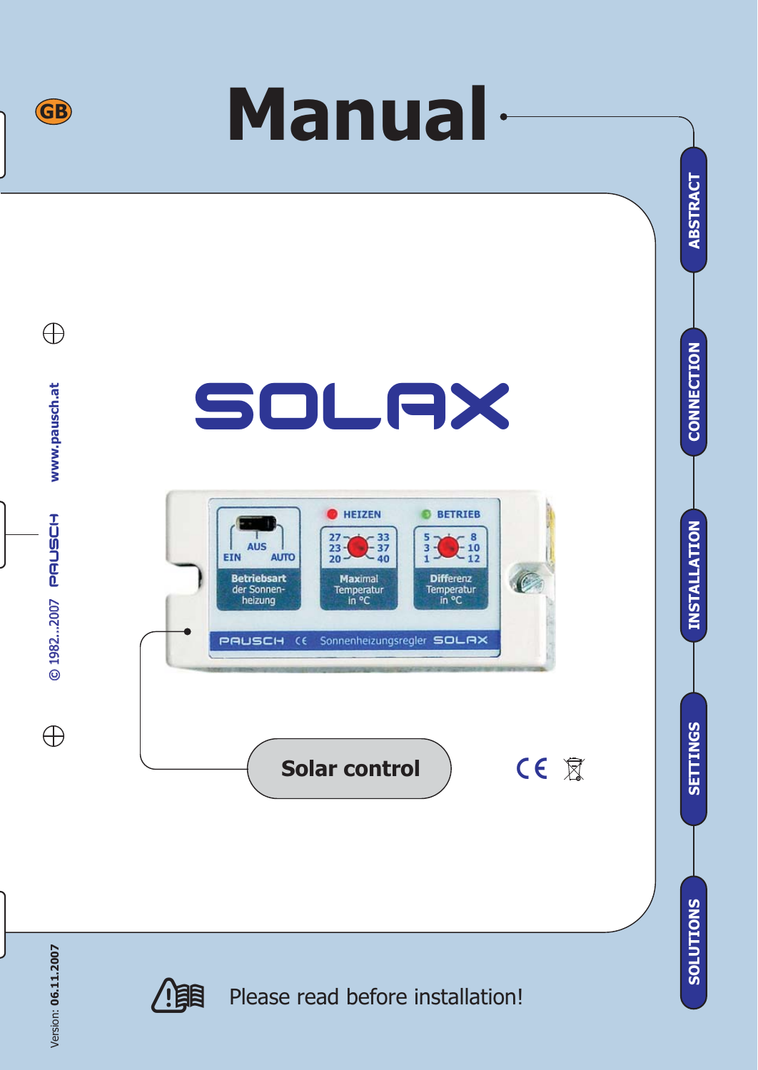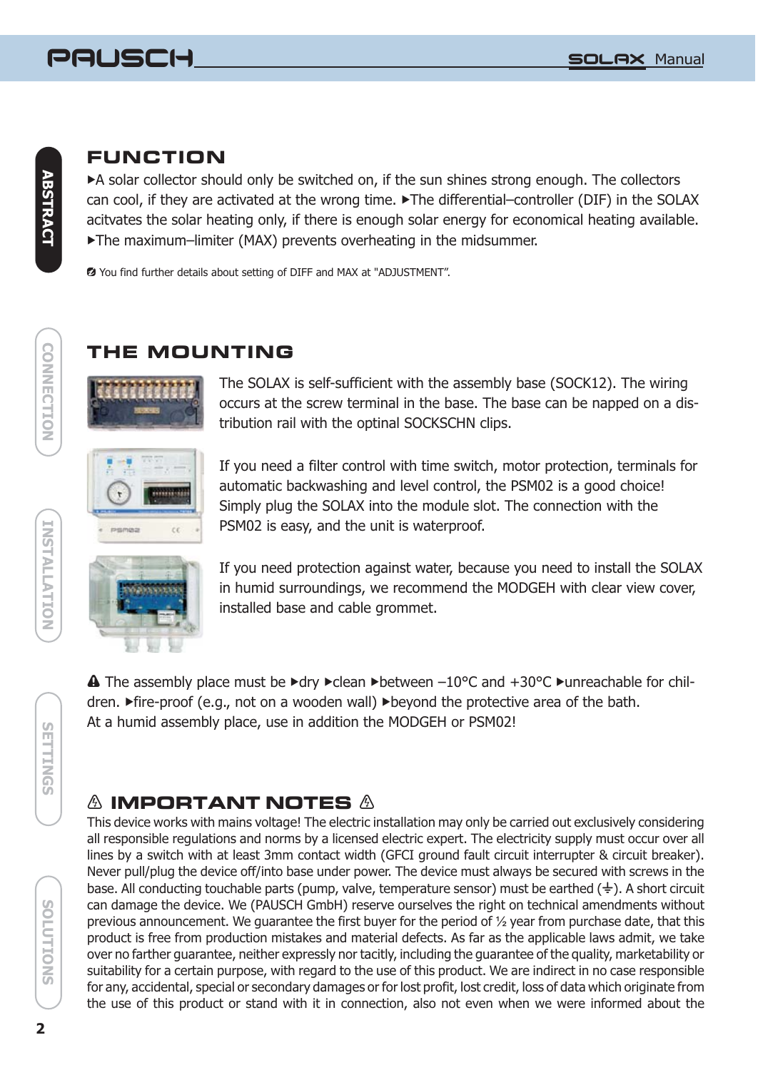## **FUNCTION**

 A solar collector should only be switched on, if the sun shines strong enough. The collectors can cool, if they are activated at the wrong time. The differential–controller (DIF) in the SOLAX The maximum–limiter (MAX) prevents overheating in the midsummer. acitvates the solar heating only, if there is enough solar energy for economical heating available.

You find further details about setting of DIFF and MAX at "ADJUSTMENT".

## **THE MOUNTING**



The SOLAX is self-sufficient with the assembly base (SOCK12). The wiring occurs at the screw terminal in the base. The base can be napped on a distribution rail with the optinal SOCKSCHN clips.



If you need a filter control with time switch, motor protection, terminals for automatic backwashing and level control, the PSM02 is a good choice! Simply plug the SOLAX into the module slot. The connection with the PSM02 is easy, and the unit is waterproof.



If you need protection against water, because you need to install the SOLAX in humid surroundings, we recommend the MODGEH with clear view cover, installed base and cable grommet.

 $\blacktriangle$  The assembly place must be  $\blacktriangleright$ dry  $\blacktriangleright$ clean  $\blacktriangleright$ between  $-10^{\circ}$ C and  $+30^{\circ}$ C  $\blacktriangleright$ unreachable for children. ▶ fire-proof (e.g., not on a wooden wall) ▶ beyond the protective area of the bath. At a humid assembly place, use in addition the MODGEH or PSM02!

# **IMPORTANT NOTES**

This device works with mains voltage! The electric installation may only be carried out exclusively considering all responsible regulations and norms by a licensed electric expert. The electricity supply must occur over all lines by a switch with at least 3mm contact width (GFCI ground fault circuit interrupter & circuit breaker). Never pull/plug the device off/into base under power. The device must always be secured with screws in the base. All conducting touchable parts (pump, valve, temperature sensor) must be earthed ( $\frac{1}{\epsilon}$ ). A short circuit can damage the device. We (PAUSCH GmbH) reserve ourselves the right on technical amendments without previous announcement. We guarantee the first buyer for the period of 1/2 year from purchase date, that this product is free from production mistakes and material defects. As far as the applicable laws admit, we take over no farther guarantee, neither expressly nor tacitly, including the guarantee of the quality, marketability or suitability for a certain purpose, with regard to the use of this product. We are indirect in no case responsible for any, accidental, special or secondary damages or for lost profit, lost credit, loss of data which originate from the use of this product or stand with it in connection, also not even when we were informed about the

**CONNECTION**

**CONNECTION**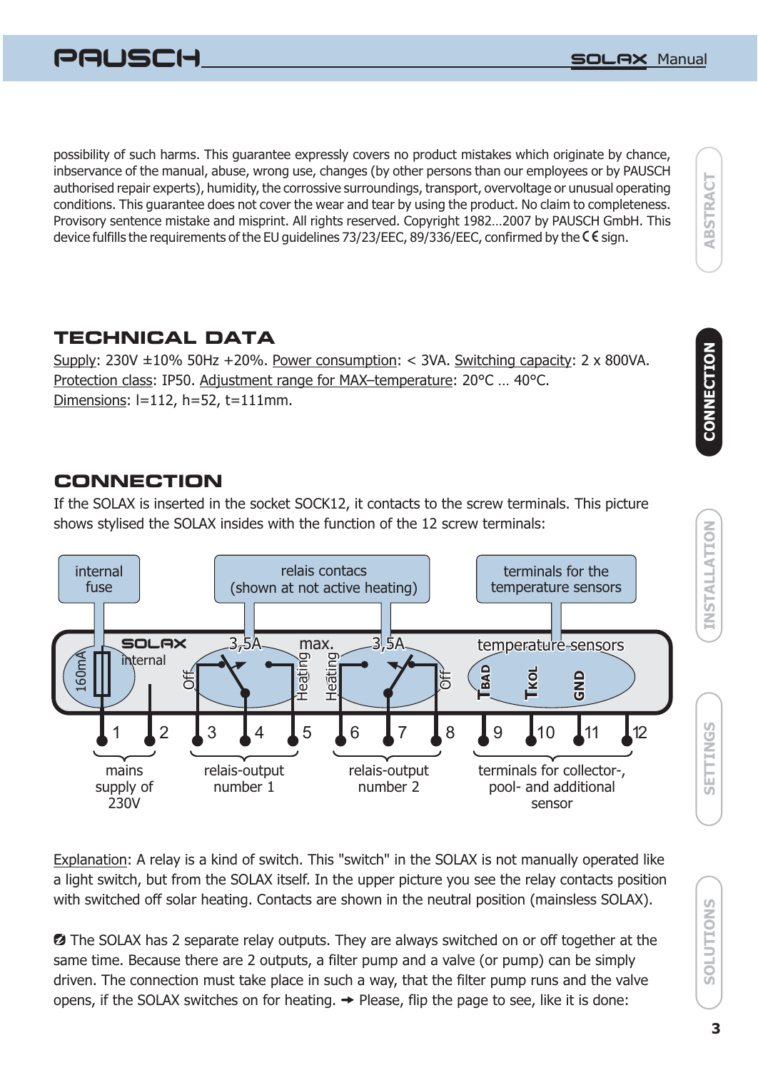

possibility of such harms. This guarantee expressly covers no product mistakes which originate by chance, inbservance of the manual, abuse, wrong use, changes (by other persons than our employees or by PAUSCH authorised repair experts), humidity, the corrossive surroundings, transport, overvoltage or unusual operating conditions. This guarantee does not cover the wear and tear by using the product. No claim to completeness. Provisory sentence mistake and misprint. All rights reserved. Copyright 1982…2007 by PAUSCH GmbH. This device fulfills the requirements of the EU quidelines 73/23/EEC, 89/336/EEC, confirmed by the  $\mathsf C \mathsf E$  sign.

# **TECHNICAL DATA**

<u>Supply</u>: 230V ±10% 50Hz +20%. <u>Power consumption</u>: < 3VA. <u>Switching capacity</u>: 2 x 800VA. Protection class: IP50. Adjustment range for MAX–temperature: 20°C ... 40°C. Dimensions : l=112, h=52, t=111mm.

## **CONNECTION**

If the SOLAX is inserted in the socket SOCK12, it contacts to the screw terminals. This picture shows stylised the SOLAX insides with the function of the 12 screw terminals:



Explanation: A relay is a kind of switch. This "switch" in the SOLAX is not manually operated like a light switch, but from the SOLAX itself. In the upper picture you see the relay contacts position with switched off solar heating. Contacts are shown in the neutral position (mainsless SOLAX).

**2** The SOLAX has 2 separate relay outputs. They are always switched on or off together at the same time. Because there are 2 outputs, a filter pump and a valve (or pump) can be simply driven. The connection must take place in such a way, that the filter pump runs and the valve opens, if the SOLAX switches on for heating.  $\rightarrow$  Please, flip the page to see, like it is done:

SOLUTIONS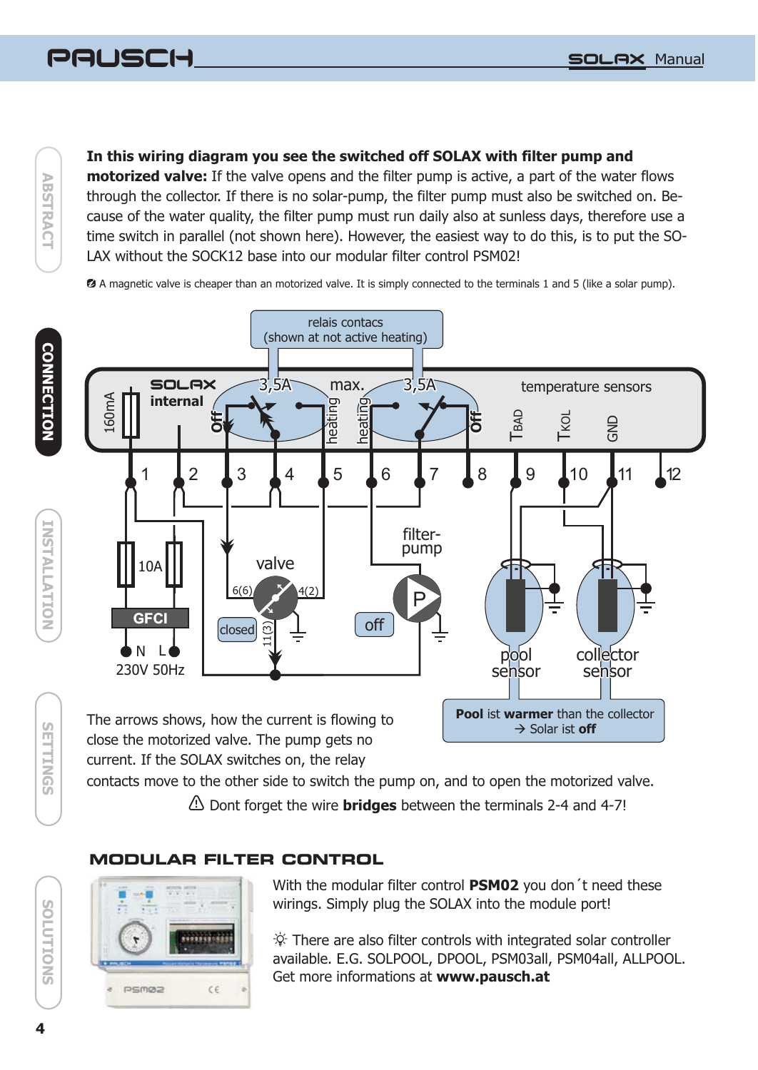#### PAUSCH (<del>-)</del> Social Science of the Society of the Society of the Society of the Society of the Society of the Society of

 $\geq$ **ABSTRACT BSTRACT** 

**CONNECTION**

**CONNECTION** 

**INSTALLATION** 

#### **In this wiring diagram you see the switched off SOLAX with filter pump and**

**motorized valve:** If the valve opens and the filter pump is active, a part of the water flows through the collector. If there is no solar-pump, the filter pump must also be switched on. Because of the water quality, the filter pump must run daily also at sunless days, therefore use a time switch in parallel (not shown here). However, the easiest way to do this, is to put the SO-LAX without the SOCK12 base into our modular filter control PSM02!

A magnetic valve is cheaper than an motorized valve. It is simply connected to the terminals 1 and 5 (like a solar pump).



current. If the SOLAX switches on, the relay

contacts move to the other side to switch the pump on, and to open the motorized valve.

Dont forget the wire between the terminals 2-4 and 4-7! **bridges**

## **MODULAR FILTER CONTROL**



With the modular filter control PSM02 you don't need these wirings. Simply plug the SOLAX into the module port!

There are also filter controls with integrated solar controller available. E.G. SOLPOOL, DPOOL, PSM03all, PSM04all, ALLPOOL. Get more informations at **www.pausch.at**

**SNOTTUNS** 

**SETTINGS INSTALLATIONS IN SOLUTIONS INSTALLATIONS IN SOLUTIONS** 

**SEITINGS**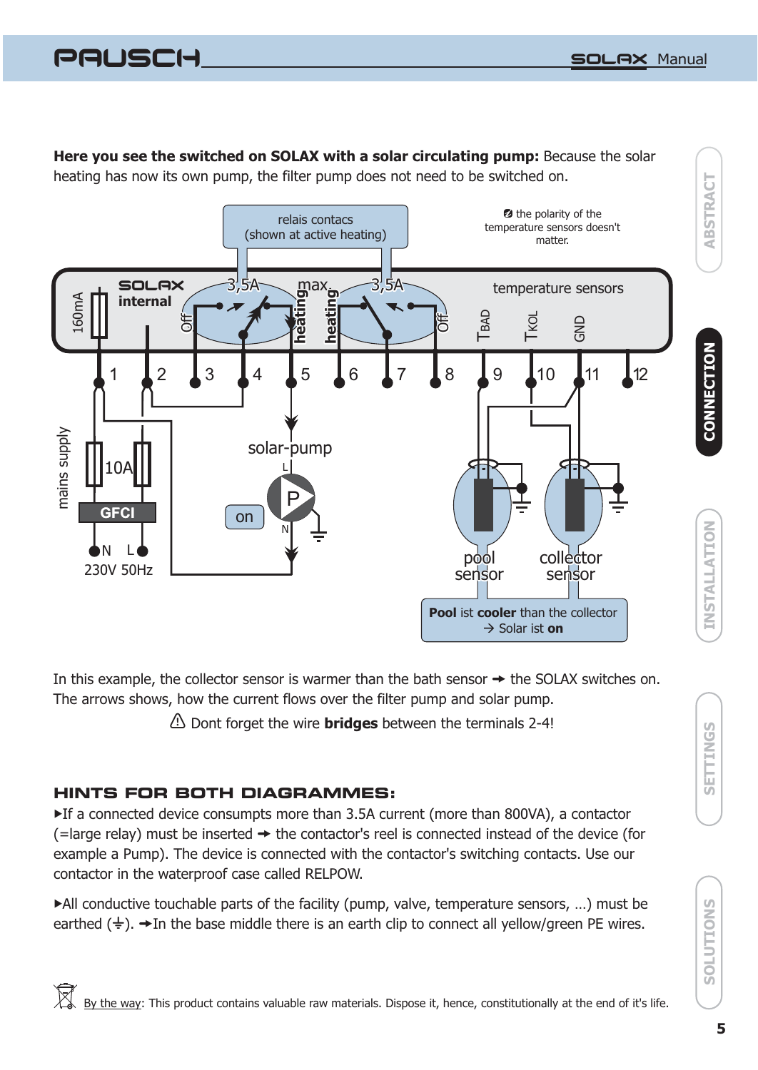**ABSTRACT**

**CONNECTION**

PAUSCH Herman School and the School and the School and the School and the School and the School and the School and

**Here you see the switched on SOLAX with a solar circulating pump:** Because the solar heating has now its own pump, the filter pump does not need to be switched on.



In this example, the collector sensor is warmer than the bath sensor  $\rightarrow$  the SOLAX switches on. The arrows shows, how the current flows over the filter pump and solar pump.

Dont forget the wire between the terminals 2-4! **bridges**

#### **HINTS FOR BOTH DIAGRAMMES:**

▶ If a connected device consumpts more than 3.5A current (more than 800VA), a contactor (=large relay) must be inserted  $\rightarrow$  the contactor's reel is connected instead of the device (for example a Pump). The device is connected with the contactor's switching contacts. Use our contactor in the waterproof case called RELPOW.

 All conductive touchable parts of the facility (pump, valve, temperature sensors, …) must be earthed  $(\frac{1}{2})$ .  $\rightarrow$  In the base middle there is an earth clip to connect all yellow/green PE wires.

**SETTINGS**

SETTINGS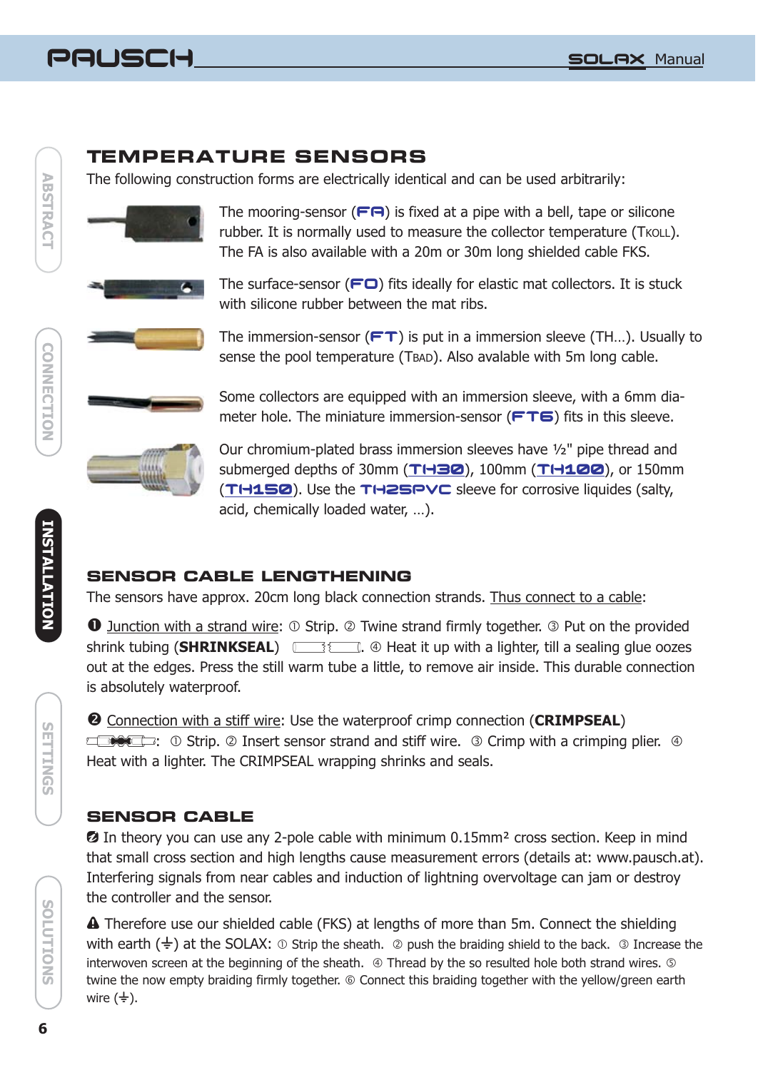

## **TEMPERATURE SENSORS**

The following construction forms are electrically identical and can be used arbitrarily:



The mooring-sensor  $(F \square)$  is fixed at a pipe with a bell, tape or silicone rubber. It is normally used to measure the collector temperature (TKOLL). The FA is also available with a 20m or 30m long shielded cable FKS.

The surface-sensor ( $\blackcap$ ) fits ideally for elastic mat collectors. It is stuck with silicone rubber between the mat ribs.



The immersion-sensor ( $\mathsf{FT}$ ) is put in a immersion sleeve (TH...). Usually to sense the pool temperature (TBAD). Also avalable with 5m long cable.

Some collectors are equipped with an immersion sleeve, with a 6mm diameter hole. The miniature immersion-sensor  $(FTG)$  fits in this sleeve.



Our chromium-plated brass immersion sleeves have ½" pipe thread and submerged depths of 30mm (TH30), 100mm (TH100), or 150mm (TH150). Use the TH25PVC sleeve for corrosive liquides (salty, acid, chemically loaded water, …).

## **SENSOR CABLE LENGTHENING**

The sensors have approx. 20cm long black connection strands. Thus connect to a cable:

**1** Junction with a strand wire: 1 Strip. 2 Twine strand firmly together. 3 Put on the provided shrink tubing (**SHRINKSEAL**) **. SHEAL Example a** Heat it up with a lighter, till a sealing glue oozes out at the edges. Press the still warm tube a little, to remove air inside. This durable connection is absolutely waterproof.

<sup>2</sup> Connection with a stiff wire: Use the waterproof crimp connection (CRIMPSEAL)

:  $\odot$  Strip.  $\oslash$  Insert sensor strand and stiff wire.  $\oslash$  Crimp with a crimping plier.  $\oslash$ Heat with a lighter. The CRIMPSEAL wrapping shrinks and seals.

#### **SENSOR CABLE**

 $\Omega$  In theory you can use any 2-pole cable with minimum 0.15mm<sup>2</sup> cross section. Keep in mind that small cross section and high lengths cause measurement errors (details at: www.pausch.at). Interfering signals from near cables and induction of lightning overvoltage can jam or destroy the controller and the sensor.

**A** Therefore use our shielded cable (FKS) at lengths of more than 5m. Connect the shielding with earth ( $\neq$ ) at the SOLAX:  $\circledcirc$  Strip the sheath.  $\circledcirc$  push the braiding shield to the back.  $\circledcirc$  Increase the interwoven screen at the beginning of the sheath.  $\circledast$  Thread by the so resulted hole both strand wires.  $\circledast$ twine the now empty braiding firmly together. © Connect this braiding together with the yellow/green earth wire  $(\frac{1}{x})$ .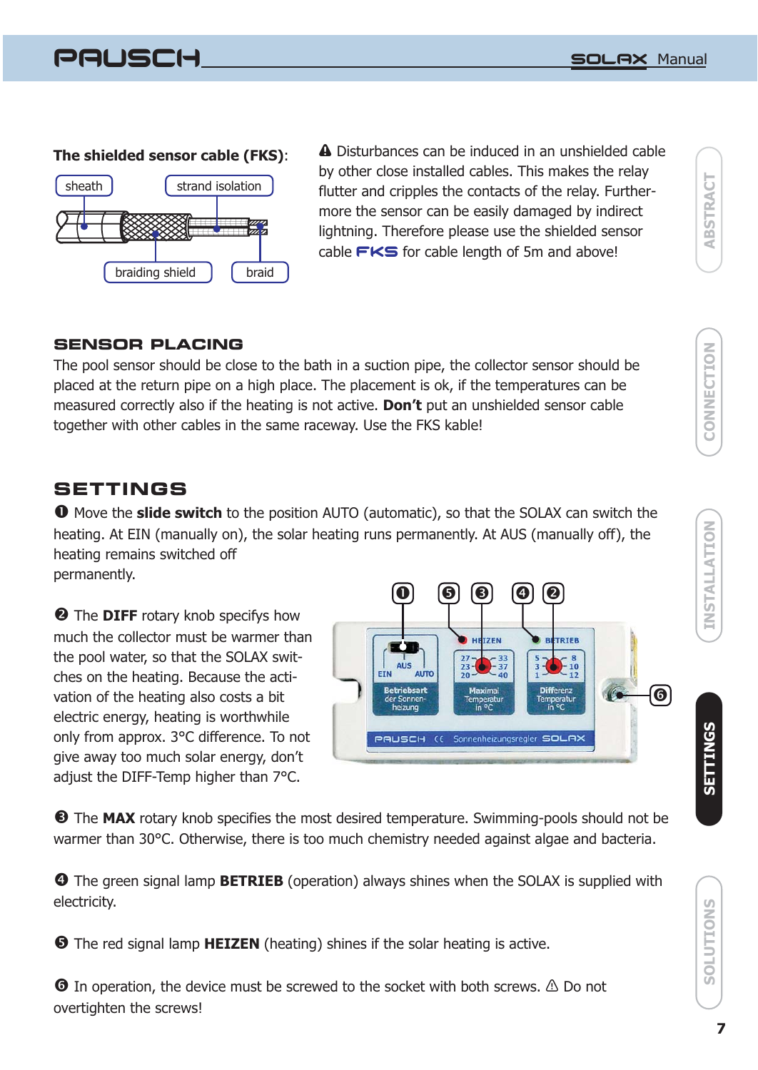PAUSCH



**The shielded sensor cable (FKS):** 4 Disturbances can be induced in an unshielded cable by other close installed cables. This makes the relay flutter and cripples the contacts of the relay. Furthermore the sensor can be easily damaged by indirect lightning. Therefore please use the shielded sensor cable  $\mathsf{FKS}$  for cable length of 5m and above!

#### **SENSOR PLACING**

The pool sensor should be close to the bath in a suction pipe, the collector sensor should be placed at the return pipe on a high place. The placement is ok, if the temperatures can be measured correctly also if the heating is not active. **Don't** put an unshielded sensor cable together with other cables in the same raceway. Use the FKS kable!

#### **SETTINGS**

 $\bullet$  Move the slide switch to the position AUTO (automatic), so that the SOLAX can switch the heating. At EIN (manually on), the solar heating runs permanently. At AUS (manually off), the heating remains switched off permanently.

**2** The DIFF rotary knob specifys how much the collector must be warmer than the pool water, so that the SOLAX switches on the heating. Because the activation of the heating also costs a bit electric energy, heating is worthwhile only from approx. 3°C difference. To not give away too much solar energy, don't adjust the DIFF-Temp higher than 7°C.



 $\bullet$  The MAX rotary knob specifies the most desired temperature. Swimming-pools should not be warmer than 30°C. Otherwise, there is too much chemistry needed against algae and bacteria.

**O** The green signal lamp **BETRIEB** (operation) always shines when the SOLAX is supplied with electricity.

**O** The red signal lamp **HEIZEN** (heating) shines if the solar heating is active.

 $\bullet$  In operation, the device must be screwed to the socket with both screws.  $\triangle$  Do not overtighten the screws!